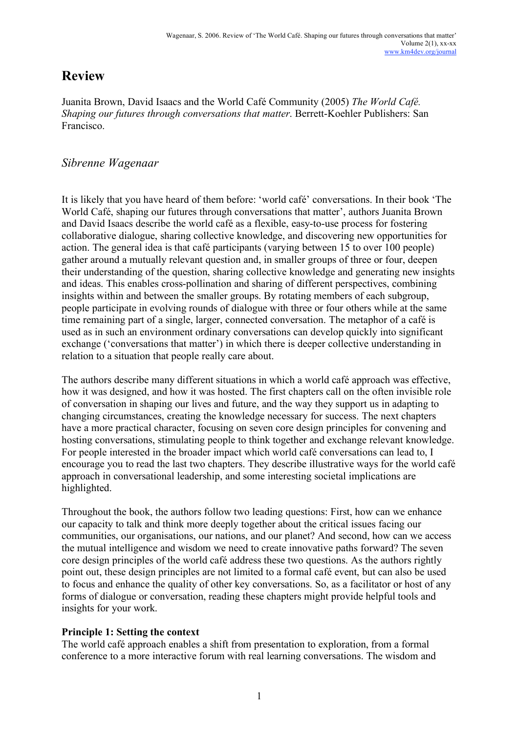# **Review**

Juanita Brown, David Isaacs and the World Café Community (2005) *The World Café. Shaping our futures through conversations that matter*. Berrett-Koehler Publishers: San Francisco.

# *Sibrenne Wagenaar*

It is likely that you have heard of them before: 'world café' conversations. In their book 'The World Café, shaping our futures through conversations that matter', authors Juanita Brown and David Isaacs describe the world café as a flexible, easy-to-use process for fostering collaborative dialogue, sharing collective knowledge, and discovering new opportunities for action. The general idea is that café participants (varying between 15 to over 100 people) gather around a mutually relevant question and, in smaller groups of three or four, deepen their understanding of the question, sharing collective knowledge and generating new insights and ideas. This enables cross-pollination and sharing of different perspectives, combining insights within and between the smaller groups. By rotating members of each subgroup, people participate in evolving rounds of dialogue with three or four others while at the same time remaining part of a single, larger, connected conversation. The metaphor of a café is used as in such an environment ordinary conversations can develop quickly into significant exchange ('conversations that matter') in which there is deeper collective understanding in relation to a situation that people really care about.

The authors describe many different situations in which a world café approach was effective, how it was designed, and how it was hosted. The first chapters call on the often invisible role of conversation in shaping our lives and future, and the way they support us in adapting to changing circumstances, creating the knowledge necessary for success. The next chapters have a more practical character, focusing on seven core design principles for convening and hosting conversations, stimulating people to think together and exchange relevant knowledge. For people interested in the broader impact which world café conversations can lead to, I encourage you to read the last two chapters. They describe illustrative ways for the world café approach in conversational leadership, and some interesting societal implications are highlighted.

Throughout the book, the authors follow two leading questions: First, how can we enhance our capacity to talk and think more deeply together about the critical issues facing our communities, our organisations, our nations, and our planet? And second, how can we access the mutual intelligence and wisdom we need to create innovative paths forward? The seven core design principles of the world café address these two questions. As the authors rightly point out, these design principles are not limited to a formal café event, but can also be used to focus and enhance the quality of other key conversations. So, as a facilitator or host of any forms of dialogue or conversation, reading these chapters might provide helpful tools and insights for your work.

# **Principle 1: Setting the context**

The world café approach enables a shift from presentation to exploration, from a formal conference to a more interactive forum with real learning conversations. The wisdom and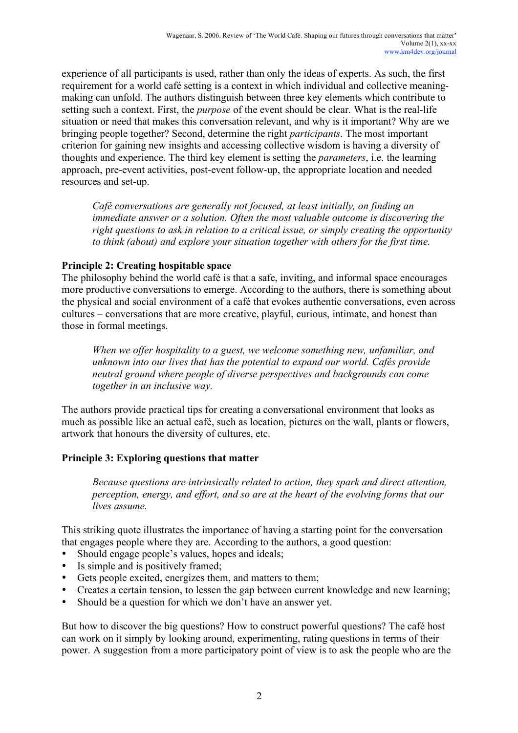experience of all participants is used, rather than only the ideas of experts. As such, the first requirement for a world café setting is a context in which individual and collective meaningmaking can unfold. The authors distinguish between three key elements which contribute to setting such a context. First, the *purpose* of the event should be clear. What is the real-life situation or need that makes this conversation relevant, and why is it important? Why are we bringing people together? Second, determine the right *participants*. The most important criterion for gaining new insights and accessing collective wisdom is having a diversity of thoughts and experience. The third key element is setting the *parameters*, i.e. the learning approach, pre-event activities, post-event follow-up, the appropriate location and needed resources and set-up.

*Café conversations are generally not focused, at least initially, on finding an immediate answer or a solution. Often the most valuable outcome is discovering the right questions to ask in relation to a critical issue, or simply creating the opportunity to think (about) and explore your situation together with others for the first time.*

# **Principle 2: Creating hospitable space**

The philosophy behind the world café is that a safe, inviting, and informal space encourages more productive conversations to emerge. According to the authors, there is something about the physical and social environment of a café that evokes authentic conversations, even across cultures – conversations that are more creative, playful, curious, intimate, and honest than those in formal meetings.

*When we offer hospitality to a guest, we welcome something new, unfamiliar, and unknown into our lives that has the potential to expand our world. Cafés provide neutral ground where people of diverse perspectives and backgrounds can come together in an inclusive way.* 

The authors provide practical tips for creating a conversational environment that looks as much as possible like an actual café, such as location, pictures on the wall, plants or flowers, artwork that honours the diversity of cultures, etc.

#### **Principle 3: Exploring questions that matter**

*Because questions are intrinsically related to action, they spark and direct attention, perception, energy, and effort, and so are at the heart of the evolving forms that our lives assume.*

This striking quote illustrates the importance of having a starting point for the conversation that engages people where they are. According to the authors, a good question:

- Should engage people's values, hopes and ideals;
- Is simple and is positively framed;<br>• Gets people excited energizes then
- Gets people excited, energizes them, and matters to them;
- Creates a certain tension, to lessen the gap between current knowledge and new learning;
- Should be a question for which we don't have an answer yet.

But how to discover the big questions? How to construct powerful questions? The café host can work on it simply by looking around, experimenting, rating questions in terms of their power. A suggestion from a more participatory point of view is to ask the people who are the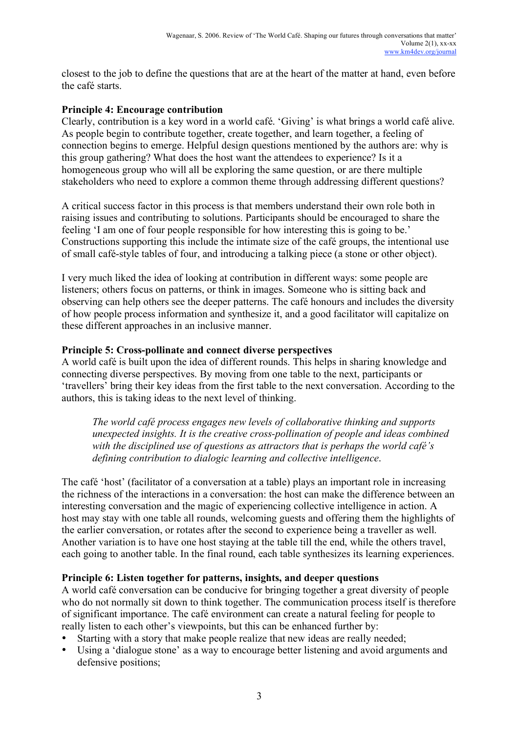closest to the job to define the questions that are at the heart of the matter at hand, even before the café starts.

#### **Principle 4: Encourage contribution**

Clearly, contribution is a key word in a world café. 'Giving' is what brings a world café alive. As people begin to contribute together, create together, and learn together, a feeling of connection begins to emerge. Helpful design questions mentioned by the authors are: why is this group gathering? What does the host want the attendees to experience? Is it a homogeneous group who will all be exploring the same question, or are there multiple stakeholders who need to explore a common theme through addressing different questions?

A critical success factor in this process is that members understand their own role both in raising issues and contributing to solutions. Participants should be encouraged to share the feeling 'I am one of four people responsible for how interesting this is going to be.' Constructions supporting this include the intimate size of the café groups, the intentional use of small café-style tables of four, and introducing a talking piece (a stone or other object).

I very much liked the idea of looking at contribution in different ways: some people are listeners; others focus on patterns, or think in images. Someone who is sitting back and observing can help others see the deeper patterns. The café honours and includes the diversity of how people process information and synthesize it, and a good facilitator will capitalize on these different approaches in an inclusive manner.

#### **Principle 5: Cross-pollinate and connect diverse perspectives**

A world café is built upon the idea of different rounds. This helps in sharing knowledge and connecting diverse perspectives. By moving from one table to the next, participants or 'travellers' bring their key ideas from the first table to the next conversation. According to the authors, this is taking ideas to the next level of thinking.

*The world café process engages new levels of collaborative thinking and supports unexpected insights. It is the creative cross-pollination of people and ideas combined with the disciplined use of questions as attractors that is perhaps the world café's defining contribution to dialogic learning and collective intelligence*.

The café 'host' (facilitator of a conversation at a table) plays an important role in increasing the richness of the interactions in a conversation: the host can make the difference between an interesting conversation and the magic of experiencing collective intelligence in action. A host may stay with one table all rounds, welcoming guests and offering them the highlights of the earlier conversation, or rotates after the second to experience being a traveller as well. Another variation is to have one host staying at the table till the end, while the others travel, each going to another table. In the final round, each table synthesizes its learning experiences.

#### **Principle 6: Listen together for patterns, insights, and deeper questions**

A world café conversation can be conducive for bringing together a great diversity of people who do not normally sit down to think together. The communication process itself is therefore of significant importance. The café environment can create a natural feeling for people to really listen to each other's viewpoints, but this can be enhanced further by:

- Starting with a story that make people realize that new ideas are really needed;
- Using a 'dialogue stone' as a way to encourage better listening and avoid arguments and defensive positions;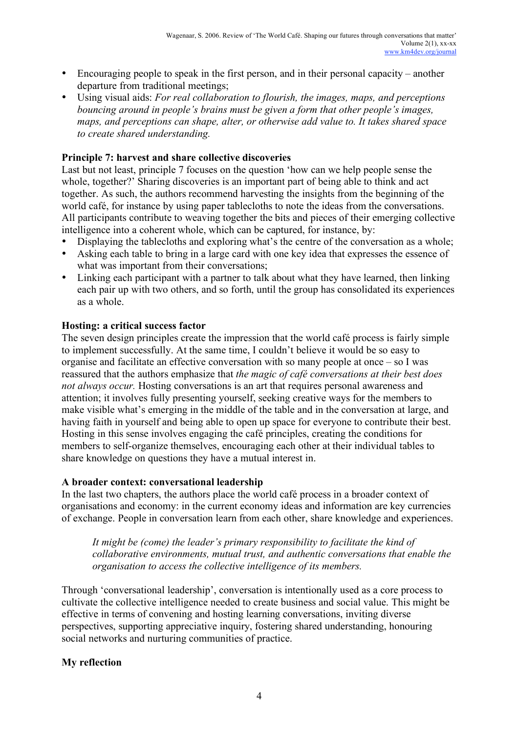- Encouraging people to speak in the first person, and in their personal capacity another departure from traditional meetings;
- Using visual aids: *For real collaboration to flourish, the images, maps, and perceptions bouncing around in people's brains must be given a form that other people's images, maps, and perceptions can shape, alter, or otherwise add value to. It takes shared space to create shared understanding.*

## **Principle 7: harvest and share collective discoveries**

Last but not least, principle 7 focuses on the question 'how can we help people sense the whole, together?' Sharing discoveries is an important part of being able to think and act together. As such, the authors recommend harvesting the insights from the beginning of the world café, for instance by using paper tablecloths to note the ideas from the conversations. All participants contribute to weaving together the bits and pieces of their emerging collective intelligence into a coherent whole, which can be captured, for instance, by:

- Displaying the tablecloths and exploring what's the centre of the conversation as a whole;
- Asking each table to bring in a large card with one key idea that expresses the essence of what was important from their conversations;
- Linking each participant with a partner to talk about what they have learned, then linking each pair up with two others, and so forth, until the group has consolidated its experiences as a whole.

## **Hosting: a critical success factor**

The seven design principles create the impression that the world café process is fairly simple to implement successfully. At the same time, I couldn't believe it would be so easy to organise and facilitate an effective conversation with so many people at once – so I was reassured that the authors emphasize that *the magic of café conversations at their best does not always occur.* Hosting conversations is an art that requires personal awareness and attention; it involves fully presenting yourself, seeking creative ways for the members to make visible what's emerging in the middle of the table and in the conversation at large, and having faith in yourself and being able to open up space for everyone to contribute their best. Hosting in this sense involves engaging the café principles, creating the conditions for members to self-organize themselves, encouraging each other at their individual tables to share knowledge on questions they have a mutual interest in.

#### **A broader context: conversational leadership**

In the last two chapters, the authors place the world café process in a broader context of organisations and economy: in the current economy ideas and information are key currencies of exchange. People in conversation learn from each other, share knowledge and experiences.

*It might be (come) the leader's primary responsibility to facilitate the kind of collaborative environments, mutual trust, and authentic conversations that enable the organisation to access the collective intelligence of its members.*

Through 'conversational leadership', conversation is intentionally used as a core process to cultivate the collective intelligence needed to create business and social value. This might be effective in terms of convening and hosting learning conversations, inviting diverse perspectives, supporting appreciative inquiry, fostering shared understanding, honouring social networks and nurturing communities of practice.

# **My reflection**